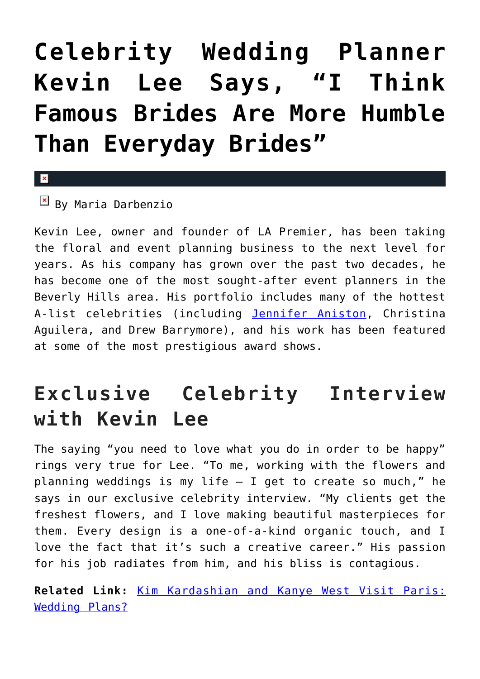# **[Celebrity Wedding Planner](https://cupidspulse.com/68781/floral-event-planning-kevin-lee-talks-weddings/) [Kevin Lee Says, "I Think](https://cupidspulse.com/68781/floral-event-planning-kevin-lee-talks-weddings/) [Famous Brides Are More Humble](https://cupidspulse.com/68781/floral-event-planning-kevin-lee-talks-weddings/) [Than Everyday Brides"](https://cupidspulse.com/68781/floral-event-planning-kevin-lee-talks-weddings/)**

#### $\mathbf x$

 $\overline{B}$  By Maria Darbenzio

Kevin Lee, owner and founder of LA Premier, has been taking the floral and event planning business to the next level for years. As his company has grown over the past two decades, he has become one of the most sought-after event planners in the Beverly Hills area. His portfolio includes many of the hottest A-list celebrities (including [Jennifer Aniston,](http://cupidspulse.com/86079/jennifer-aniston/) Christina Aguilera, and Drew Barrymore), and his work has been featured at some of the most prestigious award shows.

## **Exclusive Celebrity Interview with Kevin Lee**

The saying "you need to love what you do in order to be happy" rings very true for Lee. "To me, working with the flowers and planning weddings is my life  $-$  I get to create so much," he says in our exclusive celebrity interview. "My clients get the freshest flowers, and I love making beautiful masterpieces for them. Every design is a one-of-a-kind organic touch, and I love the fact that it's such a creative career." His passion for his job radiates from him, and his bliss is contagious.

**Related Link:** [Kim Kardashian and Kanye West Visit Paris:](http://cupidspulse.com/kim-kardashian-kanye-west-paris-wedding-plans/) [Wedding Plans?](http://cupidspulse.com/kim-kardashian-kanye-west-paris-wedding-plans/)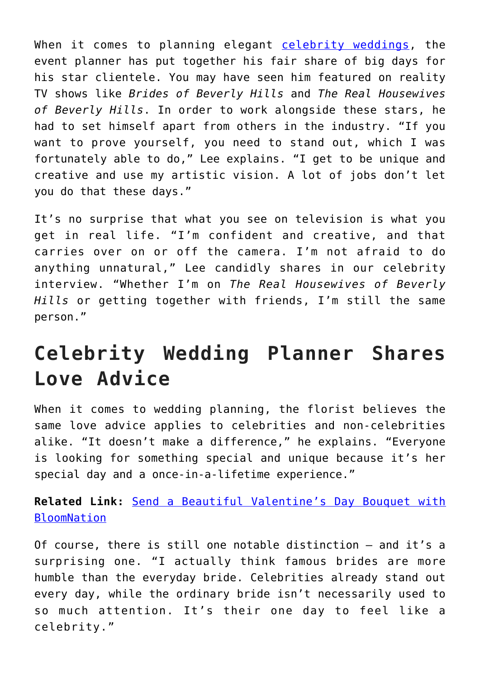When it comes to planning elegant [celebrity weddings](http://cupidspulse.com/celebrity-relationships/wedding-engagement/), the event planner has put together his fair share of big days for his star clientele. You may have seen him featured on reality TV shows like *Brides of Beverly Hills* and *The Real Housewives of Beverly Hills*. In order to work alongside these stars, he had to set himself apart from others in the industry. "If you want to prove yourself, you need to stand out, which I was fortunately able to do," Lee explains. "I get to be unique and creative and use my artistic vision. A lot of jobs don't let you do that these days."

It's no surprise that what you see on television is what you get in real life. "I'm confident and creative, and that carries over on or off the camera. I'm not afraid to do anything unnatural," Lee candidly shares in our celebrity interview. "Whether I'm on *The Real Housewives of Beverly Hills* or getting together with friends, I'm still the same person."

### **Celebrity Wedding Planner Shares Love Advice**

When it comes to wedding planning, the florist believes the same love advice applies to celebrities and non-celebrities alike. "It doesn't make a difference," he explains. "Everyone is looking for something special and unique because it's her special day and a once-in-a-lifetime experience."

**Related Link:** [Send a Beautiful Valentine's Day Bouquet with](http://cupidspulse.com/giveaway-bloomnation-valentines-day-bouquets/) **[BloomNation](http://cupidspulse.com/giveaway-bloomnation-valentines-day-bouquets/)** 

Of course, there is still one notable distinction — and it's a surprising one. "I actually think famous brides are more humble than the everyday bride. Celebrities already stand out every day, while the ordinary bride isn't necessarily used to so much attention. It's their one day to feel like a celebrity."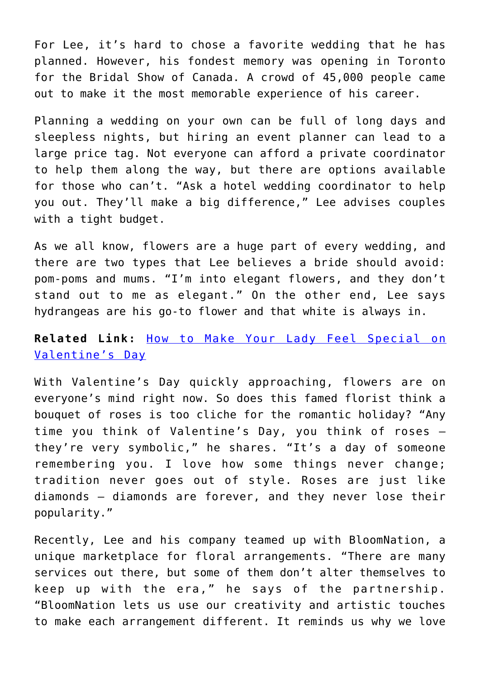For Lee, it's hard to chose a favorite wedding that he has planned. However, his fondest memory was opening in Toronto for the Bridal Show of Canada. A crowd of 45,000 people came out to make it the most memorable experience of his career.

Planning a wedding on your own can be full of long days and sleepless nights, but hiring an event planner can lead to a large price tag. Not everyone can afford a private coordinator to help them along the way, but there are options available for those who can't. "Ask a hotel wedding coordinator to help you out. They'll make a big difference," Lee advises couples with a tight budget.

As we all know, flowers are a huge part of every wedding, and there are two types that Lee believes a bride should avoid: pom-poms and mums. "I'm into elegant flowers, and they don't stand out to me as elegant." On the other end, Lee says hydrangeas are his go-to flower and that white is always in.

#### **Related Link:** [How to Make Your Lady Feel Special on](http://cupidspulse.com/how-to-make-your-lady-feel-special-this-valentines-day/) [Valentine's Day](http://cupidspulse.com/how-to-make-your-lady-feel-special-this-valentines-day/)

With Valentine's Day quickly approaching, flowers are on everyone's mind right now. So does this famed florist think a bouquet of roses is too cliche for the romantic holiday? "Any time you think of Valentine's Day, you think of roses they're very symbolic," he shares. "It's a day of someone remembering you. I love how some things never change; tradition never goes out of style. Roses are just like diamonds — diamonds are forever, and they never lose their popularity."

Recently, Lee and his company teamed up with BloomNation, a unique marketplace for floral arrangements. "There are many services out there, but some of them don't alter themselves to keep up with the era," he says of the partnership. "BloomNation lets us use our creativity and artistic touches to make each arrangement different. It reminds us why we love